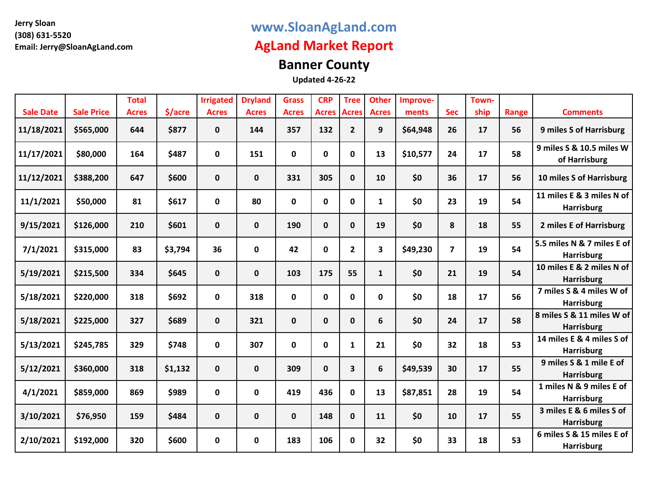## **www.SloanAgLand.com**

## **AgLand Market Report**

# **Banner County**

|                  |                   | <b>Total</b> |         | <b>Irrigated</b> | <b>Dryland</b> | <b>Grass</b> | <b>CRP</b>   | <b>Tree</b>  | <b>Other</b> | Improve- |                | Town- |       |                                                 |
|------------------|-------------------|--------------|---------|------------------|----------------|--------------|--------------|--------------|--------------|----------|----------------|-------|-------|-------------------------------------------------|
| <b>Sale Date</b> | <b>Sale Price</b> | <b>Acres</b> | \$/acre | <b>Acres</b>     | <b>Acres</b>   | <b>Acres</b> | <b>Acres</b> | <b>Acres</b> | <b>Acres</b> | ments    | <b>Sec</b>     | ship  | Range | <b>Comments</b>                                 |
| 11/18/2021       | \$565,000         | 644          | \$877   | 0                | 144            | 357          | 132          | $\mathbf{2}$ | 9            | \$64,948 | 26             | 17    | 56    | 9 miles S of Harrisburg                         |
| 11/17/2021       | \$80,000          | 164          | \$487   | $\pmb{0}$        | 151            | $\mathbf 0$  | $\mathbf 0$  | 0            | 13           | \$10,577 | 24             | 17    | 58    | 9 miles S & 10.5 miles W<br>of Harrisburg       |
| 11/12/2021       | \$388,200         | 647          | \$600   | 0                | $\mathbf{0}$   | 331          | 305          | $\mathbf{0}$ | 10           | \$0      | 36             | 17    | 56    | 10 miles S of Harrisburg                        |
| 11/1/2021        | \$50,000          | 81           | \$617   | 0                | 80             | $\mathbf 0$  | $\mathbf 0$  | 0            | $\mathbf{1}$ | \$0      | 23             | 19    | 54    | 11 miles E & 3 miles N of<br><b>Harrisburg</b>  |
| 9/15/2021        | \$126,000         | 210          | \$601   | 0                | $\mathbf 0$    | 190          | $\mathbf 0$  | 0            | 19           | \$0      | 8              | 18    | 55    | 2 miles E of Harrisburg                         |
| 7/1/2021         | \$315,000         | 83           | \$3,794 | 36               | 0              | 42           | 0            | $\mathbf{2}$ | 3            | \$49,230 | $\overline{7}$ | 19    | 54    | 5.5 miles N & 7 miles E of<br><b>Harrisburg</b> |
| 5/19/2021        | \$215,500         | 334          | \$645   | 0                | $\mathbf 0$    | 103          | 175          | 55           | $\mathbf{1}$ | \$0      | 21             | 19    | 54    | 10 miles E & 2 miles N of<br><b>Harrisburg</b>  |
| 5/18/2021        | \$220,000         | 318          | \$692   | 0                | 318            | $\mathbf 0$  | 0            | 0            | 0            | \$0      | 18             | 17    | 56    | 7 miles S & 4 miles W of<br><b>Harrisburg</b>   |
| 5/18/2021        | \$225,000         | 327          | \$689   | $\mathbf 0$      | 321            | $\mathbf 0$  | $\mathbf 0$  | $\mathbf 0$  | 6            | \$0      | 24             | 17    | 58    | 8 miles S & 11 miles W of<br><b>Harrisburg</b>  |
| 5/13/2021        | \$245,785         | 329          | \$748   | 0                | 307            | $\mathbf 0$  | $\mathbf 0$  | 1            | 21           | \$0      | 32             | 18    | 53    | 14 miles E & 4 miles S of<br><b>Harrisburg</b>  |
| 5/12/2021        | \$360,000         | 318          | \$1,132 | $\mathbf 0$      | $\mathbf 0$    | 309          | $\mathbf{0}$ | 3            | 6            | \$49,539 | 30             | 17    | 55    | 9 miles S & 1 mile E of<br><b>Harrisburg</b>    |
| 4/1/2021         | \$859,000         | 869          | \$989   | 0                | $\mathbf 0$    | 419          | 436          | 0            | 13           | \$87,851 | 28             | 19    | 54    | 1 miles N & 9 miles E of<br><b>Harrisburg</b>   |
| 3/10/2021        | \$76,950          | 159          | \$484   | 0                | $\mathbf 0$    | $\mathbf 0$  | 148          | 0            | 11           | \$0      | 10             | 17    | 55    | 3 miles E & 6 miles S of<br><b>Harrisburg</b>   |
| 2/10/2021        | \$192,000         | 320          | \$600   | 0                | 0              | 183          | 106          | 0            | 32           | \$0      | 33             | 18    | 53    | 6 miles S & 15 miles E of<br><b>Harrisburg</b>  |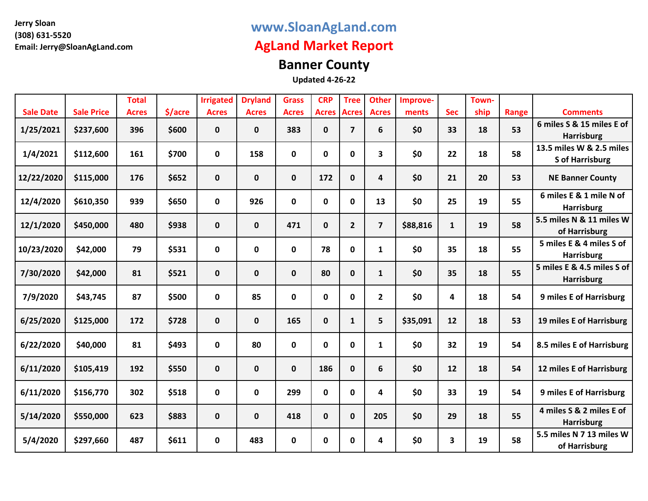## **www.SloanAgLand.com**

## **AgLand Market Report**

# **Banner County**

|                  |                   | <b>Total</b> |         | <b>Irrigated</b> | <b>Dryland</b> | <b>Grass</b> | <b>CRP</b>         | <b>Tree</b>    | <b>Other</b>            | Improve- |              | Town- |       |                                |
|------------------|-------------------|--------------|---------|------------------|----------------|--------------|--------------------|----------------|-------------------------|----------|--------------|-------|-------|--------------------------------|
| <b>Sale Date</b> | <b>Sale Price</b> | <b>Acres</b> | \$/acre | <b>Acres</b>     | <b>Acres</b>   | <b>Acres</b> | <b>Acres Acres</b> |                | <b>Acres</b>            | ments    | <b>Sec</b>   | ship  | Range | <b>Comments</b>                |
|                  |                   |              |         |                  |                |              |                    |                |                         |          |              |       |       | 6 miles S & 15 miles E of      |
| 1/25/2021        | \$237,600         | 396          | \$600   | $\mathbf 0$      | $\mathbf 0$    | 383          | $\mathbf{0}$       | $\overline{7}$ | 6                       | \$0      | 33           | 18    | 53    | <b>Harrisburg</b>              |
| 1/4/2021         | \$112,600         | 161          | \$700   | 0                | 158            | 0            | 0                  | 0              | 3                       | \$0      | 22           | 18    | 58    | 13.5 miles W & 2.5 miles       |
|                  |                   |              |         |                  |                |              |                    |                |                         |          |              |       |       | <b>S</b> of Harrisburg         |
| 12/22/2020       | \$115,000         | 176          | \$652   | $\mathbf 0$      | $\mathbf 0$    | $\mathbf{0}$ | 172                | $\mathbf{0}$   | 4                       | \$0      | 21           | 20    | 53    | <b>NE Banner County</b>        |
| 12/4/2020        | \$610,350         | 939          | \$650   | 0                | 926            | 0            | 0                  | 0              | 13                      | \$0      | 25           | 19    | 55    | 6 miles E & 1 mile N of        |
|                  |                   |              |         |                  |                |              |                    |                |                         |          |              |       |       | <b>Harrisburg</b>              |
| 12/1/2020        | \$450,000         | 480          | \$938   | $\mathbf 0$      | $\mathbf{0}$   | 471          | $\mathbf{0}$       | $\overline{2}$ | $\overline{\mathbf{z}}$ | \$88,816 | $\mathbf{1}$ | 19    | 58    | 5.5 miles N & 11 miles W       |
|                  |                   |              |         |                  |                |              |                    |                |                         |          |              |       |       | of Harrisburg                  |
| 10/23/2020       | \$42,000          | 79           | \$531   | $\mathbf 0$      | $\mathbf 0$    | $\mathbf 0$  | 78                 | 0              | $\mathbf{1}$            | \$0      | 35           | 18    | 55    | 5 miles E & 4 miles S of       |
|                  |                   |              |         |                  |                |              |                    |                |                         |          |              |       |       | <b>Harrisburg</b>              |
| 7/30/2020        | \$42,000          | 81           | \$521   | $\mathbf 0$      | $\mathbf 0$    | $\mathbf{0}$ | 80                 | $\mathbf{0}$   | $\mathbf{1}$            | \$0      | 35           | 18    | 55    | 5 miles E & 4.5 miles S of     |
|                  |                   |              |         |                  |                |              |                    |                |                         |          |              |       |       | <b>Harrisburg</b>              |
| 7/9/2020         | \$43,745          | 87           | \$500   | 0                | 85             | $\mathbf 0$  | 0                  | 0              | $\mathbf{2}$            | \$0      | 4            | 18    | 54    | <b>9 miles E of Harrisburg</b> |
| 6/25/2020        | \$125,000         | 172          | \$728   | $\mathbf{0}$     | $\mathbf{0}$   | 165          | $\mathbf{0}$       | $\mathbf{1}$   | 5                       | \$35,091 | 12           | 18    | 53    | 19 miles E of Harrisburg       |
|                  |                   |              |         |                  |                |              |                    |                |                         |          |              |       |       |                                |
| 6/22/2020        | \$40,000          | 81           | \$493   | 0                | 80             | $\mathbf 0$  | $\mathbf{0}$       | 0              | $\mathbf{1}$            | \$0      | 32           | 19    | 54    | 8.5 miles E of Harrisburg      |
| 6/11/2020        | \$105,419         | 192          | \$550   | $\mathbf 0$      | $\mathbf 0$    | $\mathbf 0$  | 186                | 0              | 6                       | \$0      | 12           | 18    | 54    | 12 miles E of Harrisburg       |
| 6/11/2020        | \$156,770         | 302          | \$518   | $\mathbf 0$      | $\mathbf 0$    | 299          | $\mathbf 0$        | 0              | 4                       | \$0      | 33           | 19    | 54    | <b>9 miles E of Harrisburg</b> |
|                  |                   |              |         |                  |                |              |                    |                |                         |          |              |       |       |                                |
| 5/14/2020        | \$550,000         | 623          | \$883   | $\mathbf 0$      | $\mathbf{0}$   | 418          | $\mathbf{0}$       | 0              | 205                     | \$0      | 29           | 18    | 55    | 4 miles S & 2 miles E of       |
|                  |                   |              |         |                  |                |              |                    |                |                         |          |              |       |       | <b>Harrisburg</b>              |
| 5/4/2020         | \$297,660         | 487          | \$611   | 0                | 483            | $\mathbf{0}$ | 0                  | 0              | 4                       | \$0      | 3            | 19    | 58    | 5.5 miles N 7 13 miles W       |
|                  |                   |              |         |                  |                |              |                    |                |                         |          |              |       |       | of Harrisburg                  |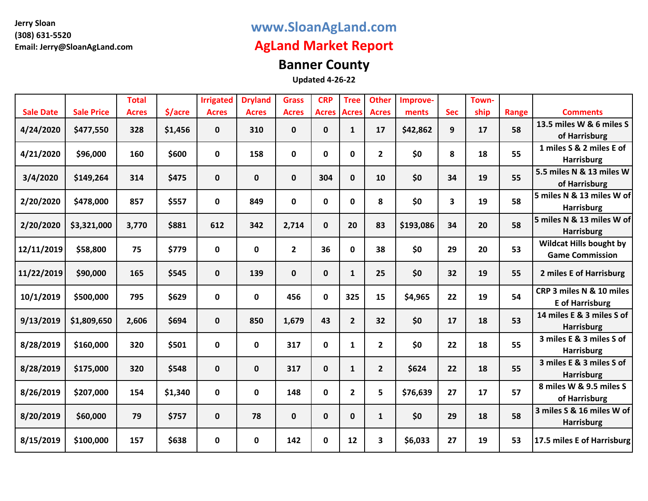## **www.SloanAgLand.com**

## **AgLand Market Report**

# **Banner County**

|                  |                   | <b>Total</b> |         | <b>Irrigated</b> | <b>Dryland</b> | <b>Grass</b>   | <b>CRP</b>   | <b>Tree</b>    | <b>Other</b>            | Improve-  |            | Town- |              |                                |
|------------------|-------------------|--------------|---------|------------------|----------------|----------------|--------------|----------------|-------------------------|-----------|------------|-------|--------------|--------------------------------|
| <b>Sale Date</b> | <b>Sale Price</b> | <b>Acres</b> | \$/acre | <b>Acres</b>     | <b>Acres</b>   | <b>Acres</b>   | <b>Acres</b> | <b>Acres</b>   | <b>Acres</b>            | ments     | <b>Sec</b> | ship  | <b>Range</b> | <b>Comments</b>                |
| 4/24/2020        | \$477,550         | 328          | \$1,456 | $\mathbf 0$      | 310            | $\mathbf 0$    | $\mathbf 0$  | $\mathbf{1}$   | 17                      | \$42,862  | 9          | 17    | 58           | 13.5 miles W & 6 miles S       |
|                  |                   |              |         |                  |                |                |              |                |                         |           |            |       |              | of Harrisburg                  |
| 4/21/2020        | \$96,000          | 160          | \$600   | 0                | 158            | 0              | 0            | 0              | $\overline{2}$          | \$0       | 8          | 18    | 55           | 1 miles S & 2 miles E of       |
|                  |                   |              |         |                  |                |                |              |                |                         |           |            |       |              | <b>Harrisburg</b>              |
| 3/4/2020         | \$149,264         | 314          | \$475   | $\mathbf 0$      | 0              | $\mathbf 0$    | 304          | $\mathbf 0$    | 10                      | \$0       | 34         | 19    | 55           | 5.5 miles N & 13 miles W       |
|                  |                   |              |         |                  |                |                |              |                |                         |           |            |       |              | of Harrisburg                  |
| 2/20/2020        | \$478,000         | 857          | \$557   | 0                | 849            | $\mathbf 0$    | $\mathbf 0$  | $\mathbf{0}$   | 8                       | \$0       | 3          | 19    | 58           | 5 miles N & 13 miles W of      |
|                  |                   |              |         |                  |                |                |              |                |                         |           |            |       |              | <b>Harrisburg</b>              |
| 2/20/2020        | \$3,321,000       | 3,770        | \$881   | 612              | 342            | 2,714          | $\mathbf 0$  | 20             | 83                      | \$193,086 | 34         | 20    | 58           | 5 miles N & 13 miles W of      |
|                  |                   |              |         |                  |                |                |              |                |                         |           |            |       |              | <b>Harrisburg</b>              |
| 12/11/2019       | \$58,800          | 75           | \$779   | 0                | 0              | $\overline{2}$ | 36           | $\mathbf{0}$   | 38                      | \$0       | 29         | 20    | 53           | <b>Wildcat Hills bought by</b> |
|                  |                   |              |         |                  |                |                |              |                |                         |           |            |       |              | <b>Game Commission</b>         |
| 11/22/2019       | \$90,000          | 165          | \$545   | 0                | 139            | $\mathbf 0$    | $\mathbf 0$  | $\mathbf{1}$   | 25                      | \$0       | 32         | 19    | 55           | 2 miles E of Harrisburg        |
|                  |                   |              |         |                  |                |                |              |                |                         |           |            |       |              |                                |
| 10/1/2019        | \$500,000         | 795          | \$629   | 0                | 0              | 456            | $\mathbf{0}$ | 325            | 15                      | \$4,965   | 22         | 19    | 54           | CRP 3 miles N & 10 miles       |
|                  |                   |              |         |                  |                |                |              |                |                         |           |            |       |              | <b>E</b> of Harrisburg         |
| 9/13/2019        | \$1,809,650       | 2,606        | \$694   | $\mathbf 0$      | 850            | 1,679          | 43           | $2^{\circ}$    | 32                      | \$0       | 17         | 18    | 53           | 14 miles E & 3 miles S of      |
|                  |                   |              |         |                  |                |                |              |                |                         |           |            |       |              | <b>Harrisburg</b>              |
|                  |                   | 320          | \$501   |                  | 0              | 317            | $\mathbf 0$  |                |                         | \$0       | 22         | 18    | 55           | 3 miles E & 3 miles S of       |
| 8/28/2019        | \$160,000         |              |         | 0                |                |                |              | $\mathbf{1}$   | $\overline{2}$          |           |            |       |              | <b>Harrisburg</b>              |
| 8/28/2019        | \$175,000         | 320          | \$548   | $\mathbf 0$      | 0              | 317            | $\mathbf 0$  | $\mathbf{1}$   | $\overline{2}$          | \$624     | 22         | 18    | 55           | 3 miles E & 3 miles S of       |
|                  |                   |              |         |                  |                |                |              |                |                         |           |            |       |              | <b>Harrisburg</b>              |
| 8/26/2019        | \$207,000         | 154          | \$1,340 | 0                |                | 148            | $\mathbf 0$  | $\overline{2}$ | 5                       | \$76,639  | 27         | 17    | 57           | 8 miles W & 9.5 miles S        |
|                  |                   |              |         |                  | 0              |                |              |                |                         |           |            |       |              | of Harrisburg                  |
|                  |                   | 79           | \$757   |                  | 78             |                |              |                |                         |           | 29         | 18    | 58           | 3 miles S & 16 miles W of      |
| 8/20/2019        | \$60,000          |              |         | 0                |                | $\mathbf 0$    | $\mathbf 0$  | $\mathbf{0}$   | $\mathbf{1}$            | \$0       |            |       |              | <b>Harrisburg</b>              |
| 8/15/2019        | \$100,000         | 157          | \$638   |                  |                | 142            | 0            | 12             | $\overline{\mathbf{3}}$ | \$6,033   | 27         | 19    | 53           | 17.5 miles E of Harrisburg     |
|                  |                   |              |         | 0                | 0              |                |              |                |                         |           |            |       |              |                                |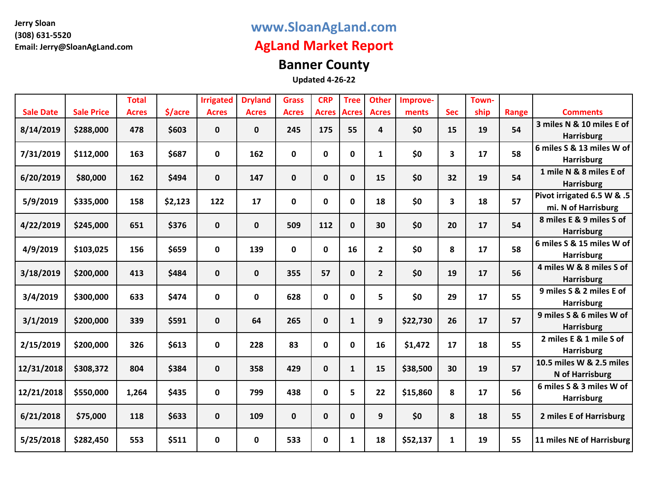## **www.SloanAgLand.com**

## **AgLand Market Report**

# **Banner County**

|                  |                   | <b>Total</b> |         | <b>Irrigated</b> | <b>Dryland</b> | <b>Grass</b> | <b>CRP</b>   | <b>Tree</b>  | <b>Other</b>   | Improve- |            | Town- |              |                            |
|------------------|-------------------|--------------|---------|------------------|----------------|--------------|--------------|--------------|----------------|----------|------------|-------|--------------|----------------------------|
| <b>Sale Date</b> | <b>Sale Price</b> | <b>Acres</b> | \$/acre | <b>Acres</b>     | <b>Acres</b>   | <b>Acres</b> | <b>Acres</b> | <b>Acres</b> | <b>Acres</b>   | ments    | <b>Sec</b> | ship  | <b>Range</b> | <b>Comments</b>            |
| 8/14/2019        | \$288,000         | 478          | \$603   | $\pmb{0}$        | $\mathbf 0$    | 245          | 175          | 55           | 4              | \$0      | 15         | 19    | 54           | 3 miles N & 10 miles E of  |
|                  |                   |              |         |                  |                |              |              |              |                |          |            |       |              | <b>Harrisburg</b>          |
| 7/31/2019        | \$112,000         | 163          | \$687   | 0                | 162            | 0            | 0            | 0            | 1              | \$0      | 3          | 17    | 58           | 6 miles S & 13 miles W of  |
|                  |                   |              |         |                  |                |              |              |              |                |          |            |       |              | <b>Harrisburg</b>          |
| 6/20/2019        | \$80,000          | 162          | \$494   | $\mathbf 0$      | 147            | $\mathbf{0}$ | $\mathbf 0$  | $\mathbf{0}$ | 15             | \$0      | 32         | 19    | 54           | 1 mile N & 8 miles E of    |
|                  |                   |              |         |                  |                |              |              |              |                |          |            |       |              | <b>Harrisburg</b>          |
| 5/9/2019         | \$335,000         | 158          | \$2,123 | 122              | 17             | $\mathbf 0$  | $\mathbf 0$  | 0            | 18             | \$0      | 3          | 18    | 57           | Pivot irrigated 6.5 W & .5 |
|                  |                   |              |         |                  |                |              |              |              |                |          |            |       |              | mi. N of Harrisburg        |
| 4/22/2019        | \$245,000         | 651          | \$376   | $\mathbf 0$      | $\mathbf 0$    | 509          | 112          | $\mathbf{0}$ | 30             | \$0      | 20         | 17    | 54           | 8 miles E & 9 miles S of   |
|                  |                   |              |         |                  |                |              |              |              |                |          |            |       |              | <b>Harrisburg</b>          |
| 4/9/2019         | \$103,025         | 156          | \$659   | 0                | 139            | $\mathbf{0}$ | $\mathbf{0}$ | 16           | $\overline{2}$ | \$0      | 8          | 17    | 58           | 6 miles S & 15 miles W of  |
|                  |                   |              |         |                  |                |              |              |              |                |          |            |       |              | <b>Harrisburg</b>          |
| 3/18/2019        | \$200,000         | 413          | \$484   | $\mathbf 0$      | $\mathbf 0$    | 355          | 57           | $\mathbf{0}$ | $\overline{2}$ | \$0      | 19         | 17    | 56           | 4 miles W & 8 miles S of   |
|                  |                   |              |         |                  |                |              |              |              |                |          |            |       |              | <b>Harrisburg</b>          |
| 3/4/2019         | \$300,000         | 633          | \$474   | $\pmb{0}$        | 0              | 628          | $\mathbf 0$  | 0            | 5              | \$0      | 29         | 17    | 55           | 9 miles S & 2 miles E of   |
|                  |                   |              |         |                  |                |              |              |              |                |          |            |       |              | <b>Harrisburg</b>          |
| 3/1/2019         | \$200,000         | 339          | \$591   | $\mathbf 0$      | 64             | 265          | $\mathbf 0$  | $\mathbf{1}$ | 9              | \$22,730 | 26         | 17    | 57           | 9 miles S & 6 miles W of   |
|                  |                   |              |         |                  |                |              |              |              |                |          |            |       |              | <b>Harrisburg</b>          |
| 2/15/2019        | \$200,000         | 326          | \$613   | $\mathbf 0$      | 228            | 83           | 0            | 0            | 16             | \$1,472  | 17         | 18    | 55           | 2 miles E & 1 mile S of    |
|                  |                   |              |         |                  |                |              |              |              |                |          |            |       |              | <b>Harrisburg</b>          |
| 12/31/2018       | \$308,372         | 804          | \$384   | $\mathbf 0$      | 358            | 429          | $\mathbf 0$  | $\mathbf{1}$ | 15             | \$38,500 | 30         | 19    | 57           | 10.5 miles W & 2.5 miles   |
|                  |                   |              |         |                  |                |              |              |              |                |          |            |       |              | <b>N</b> of Harrisburg     |
| 12/21/2018       | \$550,000         | 1,264        | \$435   | 0                | 799            | 438          | $\mathbf 0$  | 5            | 22             | \$15,860 | 8          | 17    | 56           | 6 miles S & 3 miles W of   |
|                  |                   |              |         |                  |                |              |              |              |                |          |            |       |              | <b>Harrisburg</b>          |
| 6/21/2018        | \$75,000          | 118          | \$633   | $\mathbf 0$      | 109            | $\mathbf 0$  | $\mathbf 0$  | $\mathbf{0}$ | 9              | \$0      | 8          | 18    | 55           | 2 miles E of Harrisburg    |
|                  |                   |              |         |                  |                |              |              |              |                |          |            |       |              |                            |
| 5/25/2018        | \$282,450         | 553          | \$511   | $\mathbf 0$      | 0              | 533          | 0            | 1            | 18             | \$52,137 | 1          | 19    | 55           | 11 miles NE of Harrisburg  |
|                  |                   |              |         |                  |                |              |              |              |                |          |            |       |              |                            |